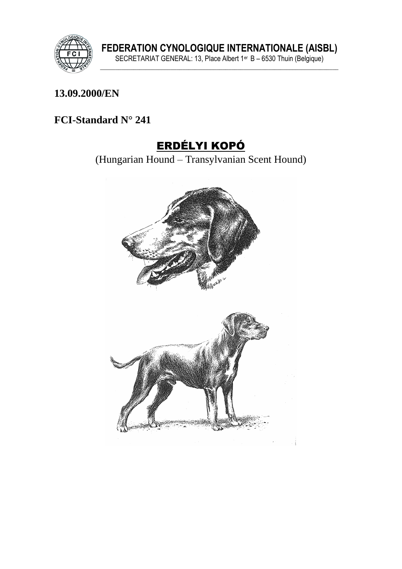

FEDERATION CYNOLOGIQUE INTERNATIONALE (AISBL)<br>SECRETARIAT GENERAL: 13, Place Albert 1<sup>er</sup> B – 6530 Thuin (Belgique)

### 13.09.2000/EN

### FCI-Standard N° 241

# **ERDÉLYI KOPÓ**

(Hungarian Hound – Transylvanian Scent Hound)

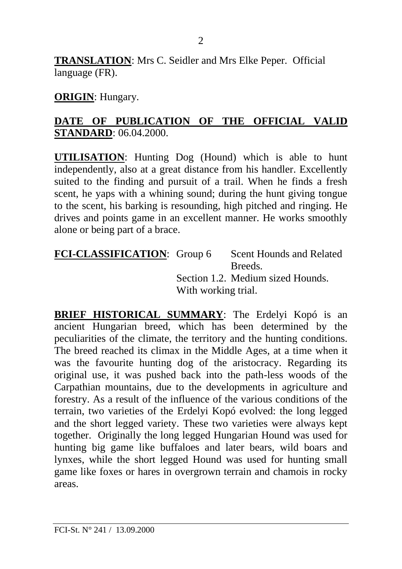**TRANSLATION**: Mrs C. Seidler and Mrs Elke Peper. Official language (FR).

#### **ORIGIN**: Hungary.

#### **DATE OF PUBLICATION OF THE OFFICIAL VALID STANDARD**: 06.04.2000.

**UTILISATION**: Hunting Dog (Hound) which is able to hunt independently, also at a great distance from his handler. Excellently suited to the finding and pursuit of a trail. When he finds a fresh scent, he yaps with a whining sound; during the hunt giving tongue to the scent, his barking is resounding, high pitched and ringing. He drives and points game in an excellent manner. He works smoothly alone or being part of a brace.

FCI-CLASSIFICATION: Group 6 Scent Hounds and Related Breeds. Section 1.2. Medium sized Hounds. With working trial.

**BRIEF HISTORICAL SUMMARY**: The Erdelyi Kopó is an ancient Hungarian breed, which has been determined by the peculiarities of the climate, the territory and the hunting conditions. The breed reached its climax in the Middle Ages, at a time when it was the favourite hunting dog of the aristocracy. Regarding its original use, it was pushed back into the path-less woods of the Carpathian mountains, due to the developments in agriculture and forestry. As a result of the influence of the various conditions of the terrain, two varieties of the Erdelyi Kopó evolved: the long legged and the short legged variety. These two varieties were always kept together. Originally the long legged Hungarian Hound was used for hunting big game like buffaloes and later bears, wild boars and lynxes, while the short legged Hound was used for hunting small game like foxes or hares in overgrown terrain and chamois in rocky areas.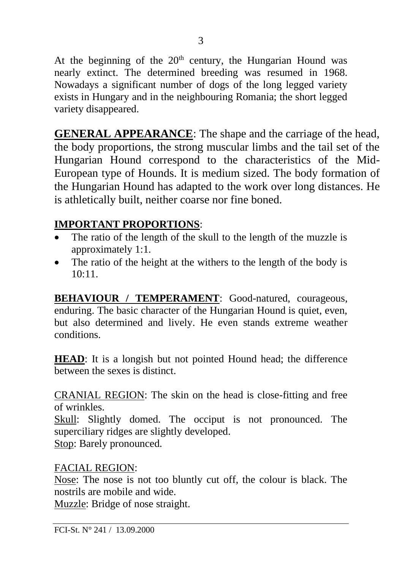At the beginning of the  $20<sup>th</sup>$  century, the Hungarian Hound was nearly extinct. The determined breeding was resumed in 1968. Nowadays a significant number of dogs of the long legged variety exists in Hungary and in the neighbouring Romania; the short legged variety disappeared.

**GENERAL APPEARANCE**: The shape and the carriage of the head, the body proportions, the strong muscular limbs and the tail set of the Hungarian Hound correspond to the characteristics of the Mid-European type of Hounds. It is medium sized. The body formation of the Hungarian Hound has adapted to the work over long distances. He is athletically built, neither coarse nor fine boned.

### **IMPORTANT PROPORTIONS**:

- The ratio of the length of the skull to the length of the muzzle is approximately 1:1.
- The ratio of the height at the withers to the length of the body is  $10:11$

**BEHAVIOUR / TEMPERAMENT**: Good-natured, courageous, enduring. The basic character of the Hungarian Hound is quiet, even, but also determined and lively. He even stands extreme weather conditions.

**HEAD**: It is a longish but not pointed Hound head; the difference between the sexes is distinct.

CRANIAL REGION: The skin on the head is close-fitting and free of wrinkles.

Skull: Slightly domed. The occiput is not pronounced. The superciliary ridges are slightly developed.

Stop: Barely pronounced.

### FACIAL REGION:

Nose: The nose is not too bluntly cut off, the colour is black. The nostrils are mobile and wide.

Muzzle: Bridge of nose straight.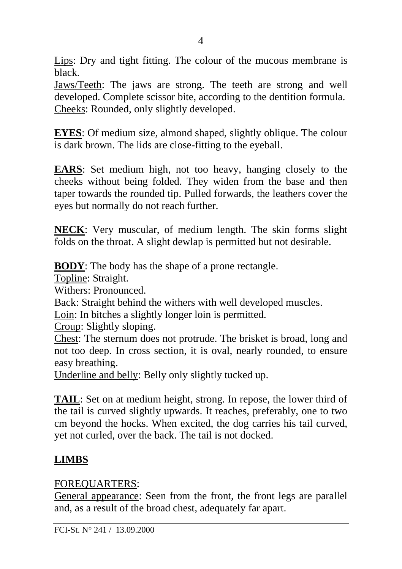Lips: Dry and tight fitting. The colour of the mucous membrane is black.

Jaws/Teeth: The jaws are strong. The teeth are strong and well developed. Complete scissor bite, according to the dentition formula. Cheeks: Rounded, only slightly developed.

**EYES:** Of medium size, almond shaped, slightly oblique. The colour is dark brown. The lids are close-fitting to the eyeball.

**EARS**: Set medium high, not too heavy, hanging closely to the cheeks without being folded. They widen from the base and then taper towards the rounded tip. Pulled forwards, the leathers cover the eyes but normally do not reach further.

**NECK**: Very muscular, of medium length. The skin forms slight folds on the throat. A slight dewlap is permitted but not desirable.

**BODY**: The body has the shape of a prone rectangle.

Topline: Straight.

Withers: Pronounced.

Back: Straight behind the withers with well developed muscles.

Loin: In bitches a slightly longer loin is permitted.

Croup: Slightly sloping.

Chest: The sternum does not protrude. The brisket is broad, long and not too deep. In cross section, it is oval, nearly rounded, to ensure easy breathing.

Underline and belly: Belly only slightly tucked up.

**TAIL**: Set on at medium height, strong. In repose, the lower third of the tail is curved slightly upwards. It reaches, preferably, one to two cm beyond the hocks. When excited, the dog carries his tail curved, yet not curled, over the back. The tail is not docked.

### **LIMBS**

### FOREQUARTERS:

General appearance: Seen from the front, the front legs are parallel and, as a result of the broad chest, adequately far apart.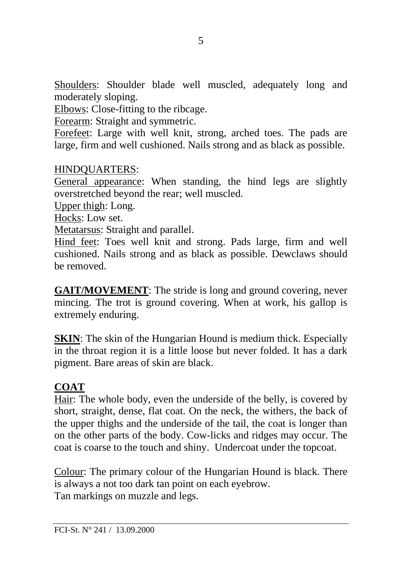Shoulders: Shoulder blade well muscled, adequately long and moderately sloping.

Elbows: Close-fitting to the ribcage.

Forearm: Straight and symmetric.

Forefeet: Large with well knit, strong, arched toes. The pads are large, firm and well cushioned. Nails strong and as black as possible.

#### HINDQUARTERS:

General appearance: When standing, the hind legs are slightly overstretched beyond the rear; well muscled.

Upper thigh: Long.

Hocks: Low set.

Metatarsus: Straight and parallel.

Hind feet: Toes well knit and strong. Pads large, firm and well cushioned. Nails strong and as black as possible. Dewclaws should be removed.

**GAIT/MOVEMENT:** The stride is long and ground covering, never mincing. The trot is ground covering. When at work, his gallop is extremely enduring.

**SKIN:** The skin of the Hungarian Hound is medium thick. Especially in the throat region it is a little loose but never folded. It has a dark pigment. Bare areas of skin are black.

### **COAT**

Hair: The whole body, even the underside of the belly, is covered by short, straight, dense, flat coat. On the neck, the withers, the back of the upper thighs and the underside of the tail, the coat is longer than on the other parts of the body. Cow-licks and ridges may occur. The coat is coarse to the touch and shiny. Undercoat under the topcoat.

Colour: The primary colour of the Hungarian Hound is black. There is always a not too dark tan point on each eyebrow. Tan markings on muzzle and legs.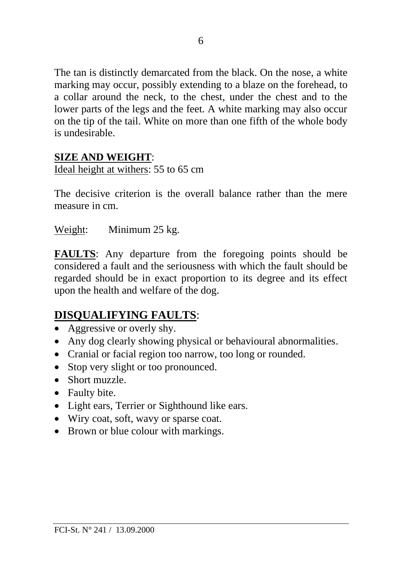The tan is distinctly demarcated from the black. On the nose, a white marking may occur, possibly extending to a blaze on the forehead, to a collar around the neck, to the chest, under the chest and to the lower parts of the legs and the feet. A white marking may also occur on the tip of the tail. White on more than one fifth of the whole body is undesirable.

### **SIZE AND WEIGHT**:

Ideal height at withers: 55 to 65 cm

The decisive criterion is the overall balance rather than the mere measure in cm.

Weight: Minimum 25 kg.

**FAULTS**: Any departure from the foregoing points should be considered a fault and the seriousness with which the fault should be regarded should be in exact proportion to its degree and its effect upon the health and welfare of the dog.

# **DISQUALIFYING FAULTS**:

- Aggressive or overly shy.
- Any dog clearly showing physical or behavioural abnormalities.
- Cranial or facial region too narrow, too long or rounded.
- Stop very slight or too pronounced.
- Short muzzle
- Faulty bite.
- Light ears, Terrier or Sighthound like ears.
- Wiry coat, soft, wavy or sparse coat.
- Brown or blue colour with markings.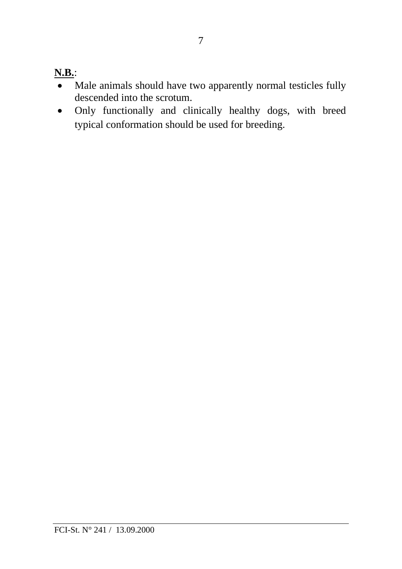# **N.B.**:

- Male animals should have two apparently normal testicles fully descended into the scrotum.
- Only functionally and clinically healthy dogs, with breed typical conformation should be used for breeding.